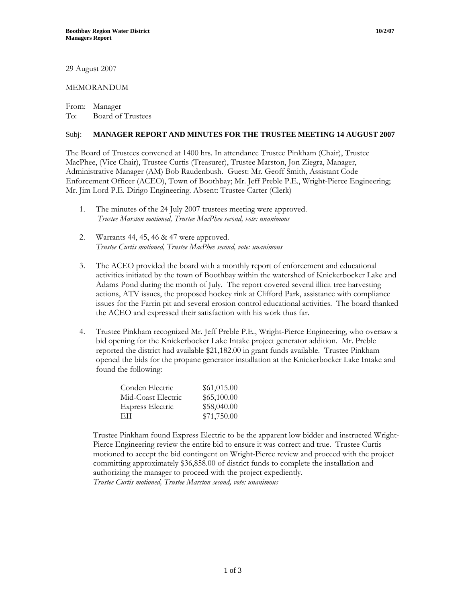## MEMORANDUM

From: Manager To: Board of Trustees

## Subj: **MANAGER REPORT AND MINUTES FOR THE TRUSTEE MEETING 14 AUGUST 2007**

The Board of Trustees convened at 1400 hrs. In attendance Trustee Pinkham (Chair), Trustee MacPhee, (Vice Chair), Trustee Curtis (Treasurer), Trustee Marston, Jon Ziegra, Manager, Administrative Manager (AM) Bob Raudenbush. Guest: Mr. Geoff Smith, Assistant Code Enforcement Officer (ACEO), Town of Boothbay; Mr. Jeff Preble P.E., Wright-Pierce Engineering; Mr. Jim Lord P.E. Dirigo Engineering. Absent: Trustee Carter (Clerk)

- 1. The minutes of the 24 July 2007 trustees meeting were approved. *Trustee Marston motioned, Trustee MacPhee second, vote: unanimous*
- 2. Warrants 44, 45, 46 & 47 were approved. *Trustee Curtis motioned, Trustee MacPhee second, vote: unanimous*
- 3. The ACEO provided the board with a monthly report of enforcement and educational activities initiated by the town of Boothbay within the watershed of Knickerbocker Lake and Adams Pond during the month of July. The report covered several illicit tree harvesting actions, ATV issues, the proposed hockey rink at Clifford Park, assistance with compliance issues for the Farrin pit and several erosion control educational activities. The board thanked the ACEO and expressed their satisfaction with his work thus far.
- 4. Trustee Pinkham recognized Mr. Jeff Preble P.E., Wright-Pierce Engineering, who oversaw a bid opening for the Knickerbocker Lake Intake project generator addition. Mr. Preble reported the district had available \$21,182.00 in grant funds available. Trustee Pinkham opened the bids for the propane generator installation at the Knickerbocker Lake Intake and found the following:

| Conden Electric         | \$61,015.00 |
|-------------------------|-------------|
| Mid-Coast Electric      | \$65,100.00 |
| <b>Express Electric</b> | \$58,040.00 |
| EH                      | \$71,750.00 |

Trustee Pinkham found Express Electric to be the apparent low bidder and instructed Wright-Pierce Engineering review the entire bid to ensure it was correct and true. Trustee Curtis motioned to accept the bid contingent on Wright-Pierce review and proceed with the project committing approximately \$36,858.00 of district funds to complete the installation and authorizing the manager to proceed with the project expediently. *Trustee Curtis motioned, Trustee Marston second, vote: unanimous*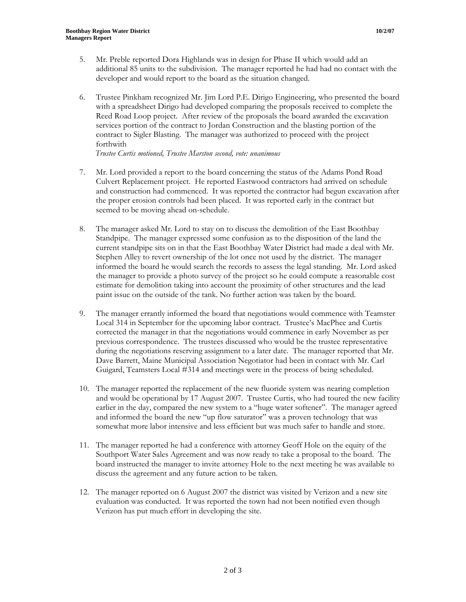6. Trustee Pinkham recognized Mr. Jim Lord P.E. Dirigo Engineering, who presented the board with a spreadsheet Dirigo had developed comparing the proposals received to complete the Reed Road Loop project. After review of the proposals the board awarded the excavation services portion of the contract to Jordan Construction and the blasting portion of the contract to Sigler Blasting. The manager was authorized to proceed with the project forthwith

*Trustee Curtis motioned, Trustee Marston second, vote: unanimous*

- 7. Mr. Lord provided a report to the board concerning the status of the Adams Pond Road Culvert Replacement project. He reported Eastwood contractors had arrived on schedule and construction had commenced. It was reported the contractor had begun excavation after the proper erosion controls had been placed. It was reported early in the contract but seemed to be moving ahead on-schedule.
- 8. The manager asked Mr. Lord to stay on to discuss the demolition of the East Boothbay Standpipe. The manager expressed some confusion as to the disposition of the land the current standpipe sits on in that the East Boothbay Water District had made a deal with Mr. Stephen Alley to revert ownership of the lot once not used by the district. The manager informed the board he would search the records to assess the legal standing. Mr. Lord asked the manager to provide a photo survey of the project so he could compute a reasonable cost estimate for demolition taking into account the proximity of other structures and the lead paint issue on the outside of the tank. No further action was taken by the board.
- 9. The manager errantly informed the board that negotiations would commence with Teamster Local 314 in September for the upcoming labor contract. Trustee's MacPhee and Curtis corrected the manager in that the negotiations would commence in early November as per previous correspondence. The trustees discussed who would be the trustee representative during the negotiations reserving assignment to a later date. The manager reported that Mr. Dave Barrett, Maine Municipal Association Negotiator had been in contact with Mr. Carl Guigard, Teamsters Local #314 and meetings were in the process of being scheduled.
- 10. The manager reported the replacement of the new fluoride system was nearing completion and would be operational by 17 August 2007. Trustee Curtis, who had toured the new facility earlier in the day, compared the new system to a "huge water softener". The manager agreed and informed the board the new "up flow saturator" was a proven technology that was somewhat more labor intensive and less efficient but was much safer to handle and store.
- 11. The manager reported he had a conference with attorney Geoff Hole on the equity of the Southport Water Sales Agreement and was now ready to take a proposal to the board. The board instructed the manager to invite attorney Hole to the next meeting he was available to discuss the agreement and any future action to be taken.
- 12. The manager reported on 6 August 2007 the district was visited by Verizon and a new site evaluation was conducted. It was reported the town had not been notified even though Verizon has put much effort in developing the site.